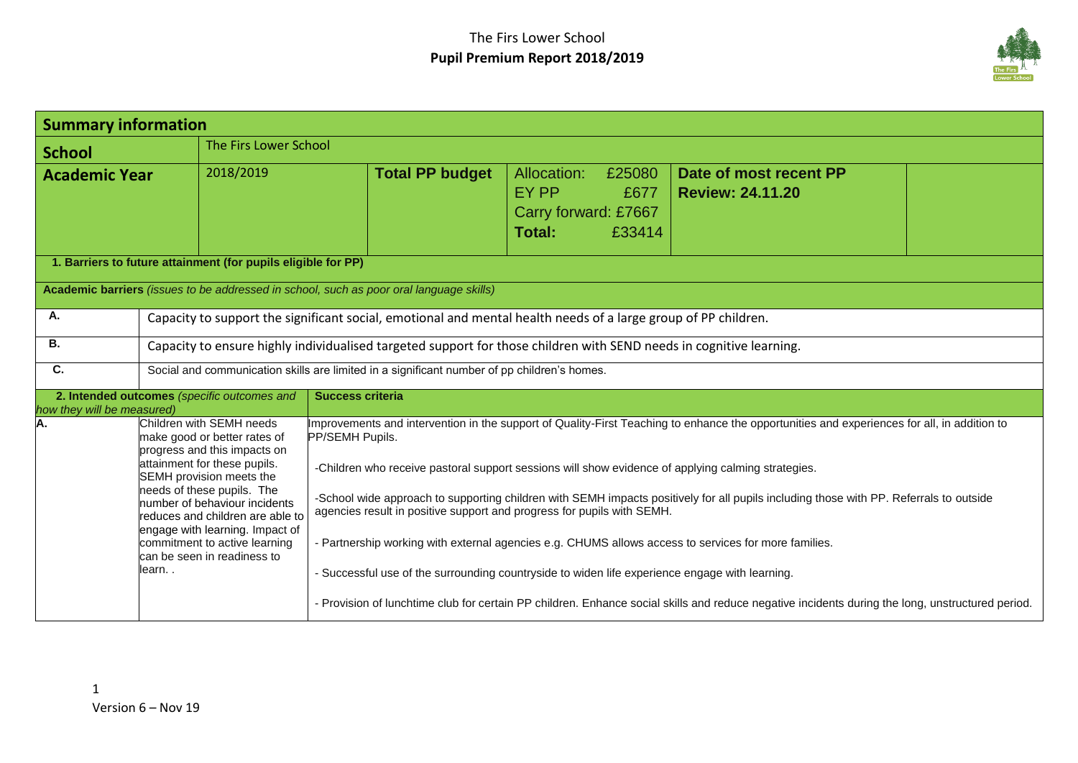

| <b>Summary information</b> |                                                                                                                                                                                                                                                                                                                                                                        |                                                                                                                                                                                                                                                                                                                                                                                                                                                                                                                                                                                                                                                                                                                                                                                                                                                        |                                                                                    |                                                   |
|----------------------------|------------------------------------------------------------------------------------------------------------------------------------------------------------------------------------------------------------------------------------------------------------------------------------------------------------------------------------------------------------------------|--------------------------------------------------------------------------------------------------------------------------------------------------------------------------------------------------------------------------------------------------------------------------------------------------------------------------------------------------------------------------------------------------------------------------------------------------------------------------------------------------------------------------------------------------------------------------------------------------------------------------------------------------------------------------------------------------------------------------------------------------------------------------------------------------------------------------------------------------------|------------------------------------------------------------------------------------|---------------------------------------------------|
| <b>School</b>              |                                                                                                                                                                                                                                                                                                                                                                        | The Firs Lower School                                                                                                                                                                                                                                                                                                                                                                                                                                                                                                                                                                                                                                                                                                                                                                                                                                  |                                                                                    |                                                   |
| <b>Academic Year</b>       | 2018/2019                                                                                                                                                                                                                                                                                                                                                              | <b>Total PP budget</b>                                                                                                                                                                                                                                                                                                                                                                                                                                                                                                                                                                                                                                                                                                                                                                                                                                 | Allocation:<br>£25080<br>EY PP<br>£677<br>Carry forward: £7667<br>£33414<br>Total: | Date of most recent PP<br><b>Review: 24.11.20</b> |
|                            | 1. Barriers to future attainment (for pupils eligible for PP)                                                                                                                                                                                                                                                                                                          |                                                                                                                                                                                                                                                                                                                                                                                                                                                                                                                                                                                                                                                                                                                                                                                                                                                        |                                                                                    |                                                   |
|                            |                                                                                                                                                                                                                                                                                                                                                                        | Academic barriers (issues to be addressed in school, such as poor oral language skills)                                                                                                                                                                                                                                                                                                                                                                                                                                                                                                                                                                                                                                                                                                                                                                |                                                                                    |                                                   |
| Α.                         |                                                                                                                                                                                                                                                                                                                                                                        | Capacity to support the significant social, emotional and mental health needs of a large group of PP children.                                                                                                                                                                                                                                                                                                                                                                                                                                                                                                                                                                                                                                                                                                                                         |                                                                                    |                                                   |
| В.                         | Capacity to ensure highly individualised targeted support for those children with SEND needs in cognitive learning.                                                                                                                                                                                                                                                    |                                                                                                                                                                                                                                                                                                                                                                                                                                                                                                                                                                                                                                                                                                                                                                                                                                                        |                                                                                    |                                                   |
| C.                         | Social and communication skills are limited in a significant number of pp children's homes.                                                                                                                                                                                                                                                                            |                                                                                                                                                                                                                                                                                                                                                                                                                                                                                                                                                                                                                                                                                                                                                                                                                                                        |                                                                                    |                                                   |
| how they will be measured) | 2. Intended outcomes (specific outcomes and                                                                                                                                                                                                                                                                                                                            | <b>Success criteria</b>                                                                                                                                                                                                                                                                                                                                                                                                                                                                                                                                                                                                                                                                                                                                                                                                                                |                                                                                    |                                                   |
| А.                         | Children with SEMH needs<br>make good or better rates of<br>progress and this impacts on<br>attainment for these pupils.<br>SEMH provision meets the<br>needs of these pupils. The<br>number of behaviour incidents<br>reduces and children are able to<br>engage with learning. Impact of<br>commitment to active learning<br>can be seen in readiness to<br>learn. . | Improvements and intervention in the support of Quality-First Teaching to enhance the opportunities and experiences for all, in addition to<br>PP/SEMH Pupils.<br>-Children who receive pastoral support sessions will show evidence of applying calming strategies.<br>-School wide approach to supporting children with SEMH impacts positively for all pupils including those with PP. Referrals to outside<br>agencies result in positive support and progress for pupils with SEMH.<br>- Partnership working with external agencies e.g. CHUMS allows access to services for more families.<br>- Successful use of the surrounding countryside to widen life experience engage with learning.<br>- Provision of lunchtime club for certain PP children. Enhance social skills and reduce negative incidents during the long, unstructured period. |                                                                                    |                                                   |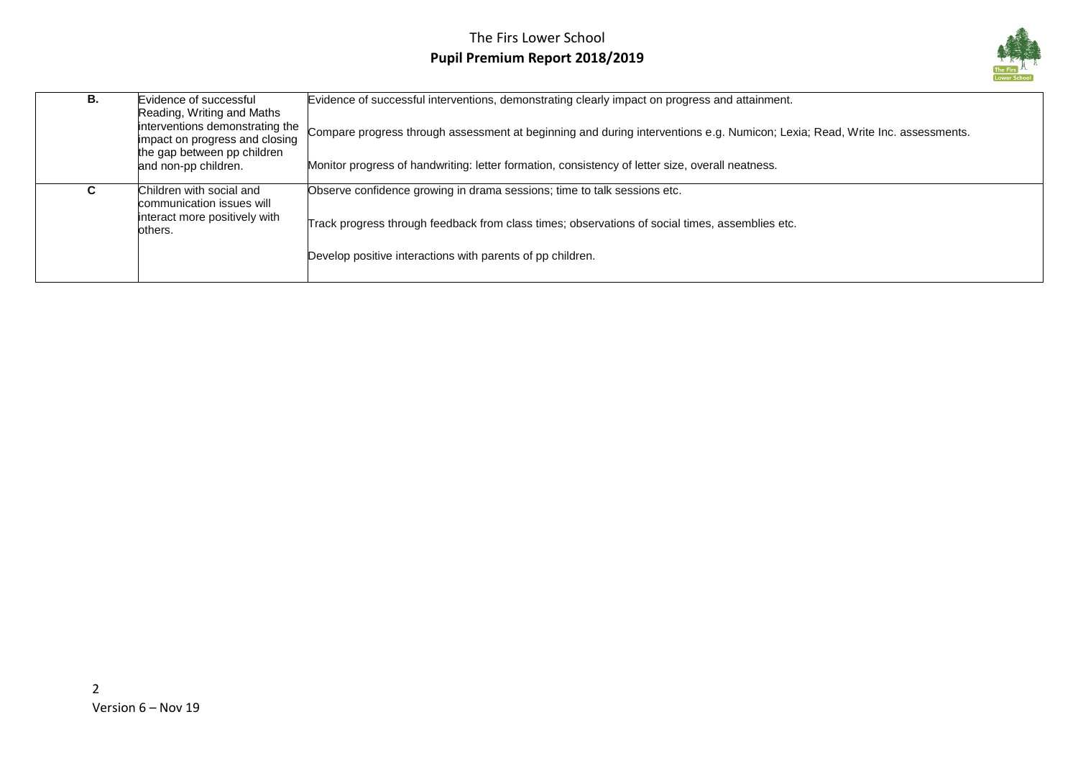

| В. | Evidence of successful<br>Reading, Writing and Maths<br>interventions demonstrating the<br>impact on progress and closing<br>the gap between pp children<br>and non-pp children. | Evidence of successful interventions, demonstrating clearly impact on progress and attainment.<br>Compare progress through assessment at beginning and during interventions e.g. Numicon; Lexia; Read, Write Inc. assessments.<br>Monitor progress of handwriting: letter formation, consistency of letter size, overall neatness. |
|----|----------------------------------------------------------------------------------------------------------------------------------------------------------------------------------|------------------------------------------------------------------------------------------------------------------------------------------------------------------------------------------------------------------------------------------------------------------------------------------------------------------------------------|
| u. | Children with social and<br>communication issues will<br>interact more positively with<br>others.                                                                                | Observe confidence growing in drama sessions; time to talk sessions etc.<br>Track progress through feedback from class times; observations of social times, assemblies etc.<br>Develop positive interactions with parents of pp children.                                                                                          |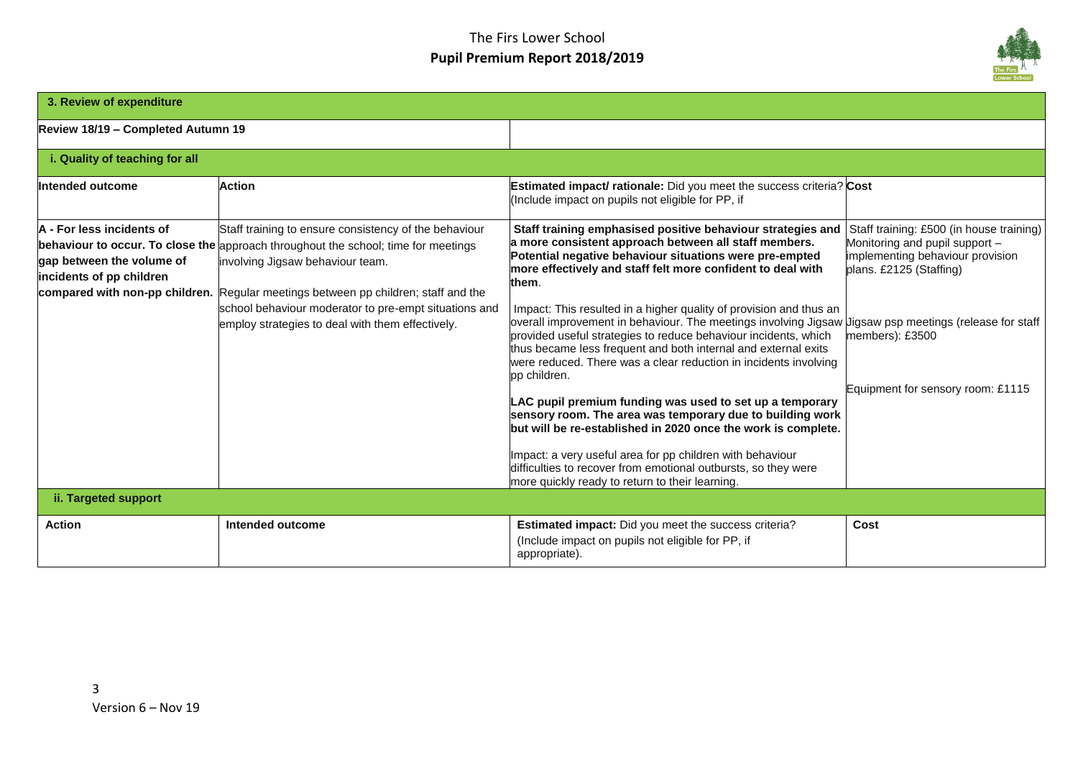

| 3. Review of expenditure                                                           |                                                                                                                                                                                                                                                                                                                                                                                           |                                                                                                                                                                                                                                                                                                                                                                                                                                                                                                                                                                                                                                                                                                                                                                                                                                                                                                                                                                                                                                              |                                                                                                                                                                                                   |
|------------------------------------------------------------------------------------|-------------------------------------------------------------------------------------------------------------------------------------------------------------------------------------------------------------------------------------------------------------------------------------------------------------------------------------------------------------------------------------------|----------------------------------------------------------------------------------------------------------------------------------------------------------------------------------------------------------------------------------------------------------------------------------------------------------------------------------------------------------------------------------------------------------------------------------------------------------------------------------------------------------------------------------------------------------------------------------------------------------------------------------------------------------------------------------------------------------------------------------------------------------------------------------------------------------------------------------------------------------------------------------------------------------------------------------------------------------------------------------------------------------------------------------------------|---------------------------------------------------------------------------------------------------------------------------------------------------------------------------------------------------|
| Review 18/19 - Completed Autumn 19                                                 |                                                                                                                                                                                                                                                                                                                                                                                           |                                                                                                                                                                                                                                                                                                                                                                                                                                                                                                                                                                                                                                                                                                                                                                                                                                                                                                                                                                                                                                              |                                                                                                                                                                                                   |
| i. Quality of teaching for all                                                     |                                                                                                                                                                                                                                                                                                                                                                                           |                                                                                                                                                                                                                                                                                                                                                                                                                                                                                                                                                                                                                                                                                                                                                                                                                                                                                                                                                                                                                                              |                                                                                                                                                                                                   |
| Intended outcome                                                                   | <b>Action</b>                                                                                                                                                                                                                                                                                                                                                                             | <b>Estimated impact/ rationale:</b> Did you meet the success criteria? Cost<br>(Include impact on pupils not eligible for PP, if                                                                                                                                                                                                                                                                                                                                                                                                                                                                                                                                                                                                                                                                                                                                                                                                                                                                                                             |                                                                                                                                                                                                   |
| A - For less incidents of<br>gap between the volume of<br>incidents of pp children | Staff training to ensure consistency of the behaviour<br><b>behaviour to occur. To close the approach throughout the school; time for meetings</b><br>involving Jigsaw behaviour team.<br>compared with non-pp children. Regular meetings between pp children; staff and the<br>school behaviour moderator to pre-empt situations and<br>employ strategies to deal with them effectively. | Staff training emphasised positive behaviour strategies and<br>a more consistent approach between all staff members.<br>Potential negative behaviour situations were pre-empted<br>more effectively and staff felt more confident to deal with<br>them.<br>Impact: This resulted in a higher quality of provision and thus an<br>overall improvement in behaviour. The meetings involving Jigsaw Jigsaw psp meetings (release for staff<br>provided useful strategies to reduce behaviour incidents, which<br>thus became less frequent and both internal and external exits<br>were reduced. There was a clear reduction in incidents involving<br>pp children.<br>LAC pupil premium funding was used to set up a temporary<br>sensory room. The area was temporary due to building work<br>but will be re-established in 2020 once the work is complete.<br>Impact: a very useful area for pp children with behaviour<br>difficulties to recover from emotional outbursts, so they were<br>more quickly ready to return to their learning. | Staff training: £500 (in house training)<br>Monitoring and pupil support -<br>implementing behaviour provision<br>plans. £2125 (Staffing)<br>members): £3500<br>Equipment for sensory room: £1115 |
| ii. Targeted support                                                               |                                                                                                                                                                                                                                                                                                                                                                                           |                                                                                                                                                                                                                                                                                                                                                                                                                                                                                                                                                                                                                                                                                                                                                                                                                                                                                                                                                                                                                                              |                                                                                                                                                                                                   |
| <b>Action</b>                                                                      | Intended outcome                                                                                                                                                                                                                                                                                                                                                                          | Estimated impact: Did you meet the success criteria?<br>(Include impact on pupils not eligible for PP, if<br>appropriate).                                                                                                                                                                                                                                                                                                                                                                                                                                                                                                                                                                                                                                                                                                                                                                                                                                                                                                                   | Cost                                                                                                                                                                                              |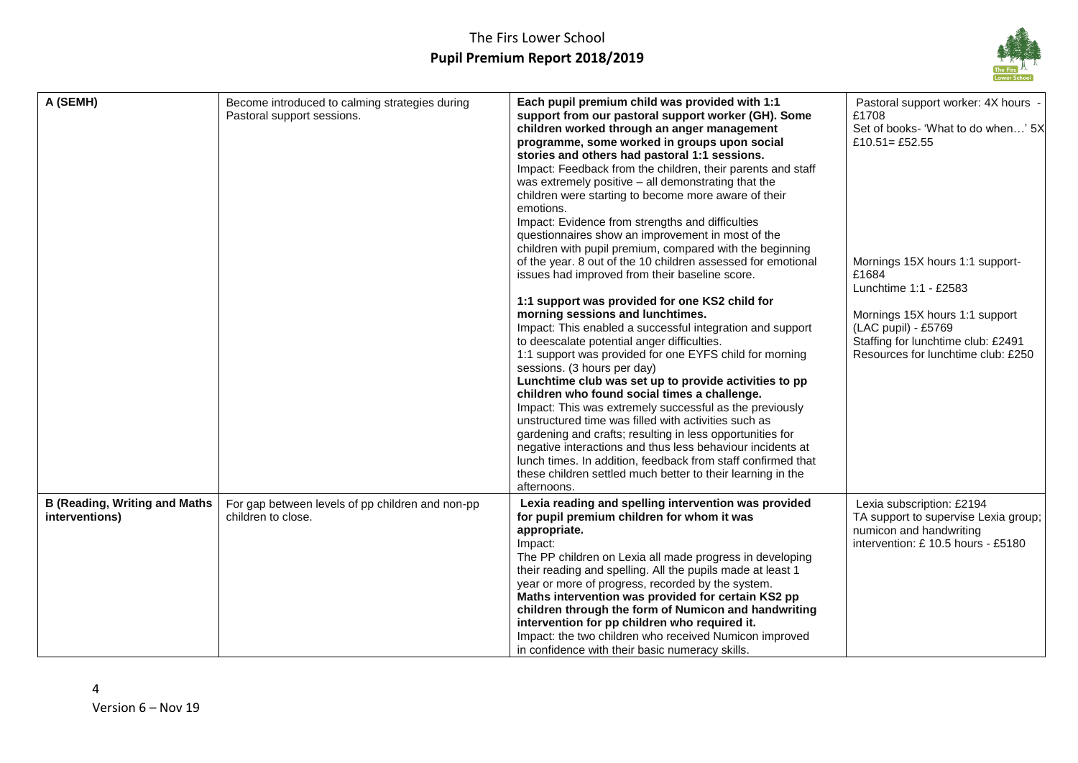

| A (SEMH)                                                | Become introduced to calming strategies during<br>Pastoral support sessions. | Each pupil premium child was provided with 1:1<br>support from our pastoral support worker (GH). Some<br>children worked through an anger management<br>programme, some worked in groups upon social<br>stories and others had pastoral 1:1 sessions.<br>Impact: Feedback from the children, their parents and staff<br>was extremely positive - all demonstrating that the<br>children were starting to become more aware of their<br>emotions.<br>Impact: Evidence from strengths and difficulties<br>questionnaires show an improvement in most of the<br>children with pupil premium, compared with the beginning<br>of the year. 8 out of the 10 children assessed for emotional<br>issues had improved from their baseline score.<br>1:1 support was provided for one KS2 child for<br>morning sessions and lunchtimes.<br>Impact: This enabled a successful integration and support<br>to deescalate potential anger difficulties.<br>1:1 support was provided for one EYFS child for morning<br>sessions. (3 hours per day)<br>Lunchtime club was set up to provide activities to pp<br>children who found social times a challenge.<br>Impact: This was extremely successful as the previously<br>unstructured time was filled with activities such as<br>gardening and crafts; resulting in less opportunities for<br>negative interactions and thus less behaviour incidents at<br>lunch times. In addition, feedback from staff confirmed that<br>these children settled much better to their learning in the<br>afternoons. | Pastoral support worker: 4X hours -<br>£1708<br>Set of books- 'What to do when' 5X<br>£10.51 = £52.55<br>Mornings 15X hours 1:1 support-<br>£1684<br>Lunchtime 1:1 - £2583<br>Mornings 15X hours 1:1 support<br>(LAC pupil) - £5769<br>Staffing for lunchtime club: £2491<br>Resources for lunchtime club: £250 |
|---------------------------------------------------------|------------------------------------------------------------------------------|------------------------------------------------------------------------------------------------------------------------------------------------------------------------------------------------------------------------------------------------------------------------------------------------------------------------------------------------------------------------------------------------------------------------------------------------------------------------------------------------------------------------------------------------------------------------------------------------------------------------------------------------------------------------------------------------------------------------------------------------------------------------------------------------------------------------------------------------------------------------------------------------------------------------------------------------------------------------------------------------------------------------------------------------------------------------------------------------------------------------------------------------------------------------------------------------------------------------------------------------------------------------------------------------------------------------------------------------------------------------------------------------------------------------------------------------------------------------------------------------------------------------------------------|-----------------------------------------------------------------------------------------------------------------------------------------------------------------------------------------------------------------------------------------------------------------------------------------------------------------|
| <b>B (Reading, Writing and Maths)</b><br>interventions) | For gap between levels of pp children and non-pp<br>children to close.       | Lexia reading and spelling intervention was provided<br>for pupil premium children for whom it was<br>appropriate.<br>Impact:<br>The PP children on Lexia all made progress in developing<br>their reading and spelling. All the pupils made at least 1<br>year or more of progress, recorded by the system.<br>Maths intervention was provided for certain KS2 pp<br>children through the form of Numicon and handwriting<br>intervention for pp children who required it.<br>Impact: the two children who received Numicon improved<br>in confidence with their basic numeracy skills.                                                                                                                                                                                                                                                                                                                                                                                                                                                                                                                                                                                                                                                                                                                                                                                                                                                                                                                                                 | Lexia subscription: £2194<br>TA support to supervise Lexia group;<br>numicon and handwriting<br>intervention: £10.5 hours - £5180                                                                                                                                                                               |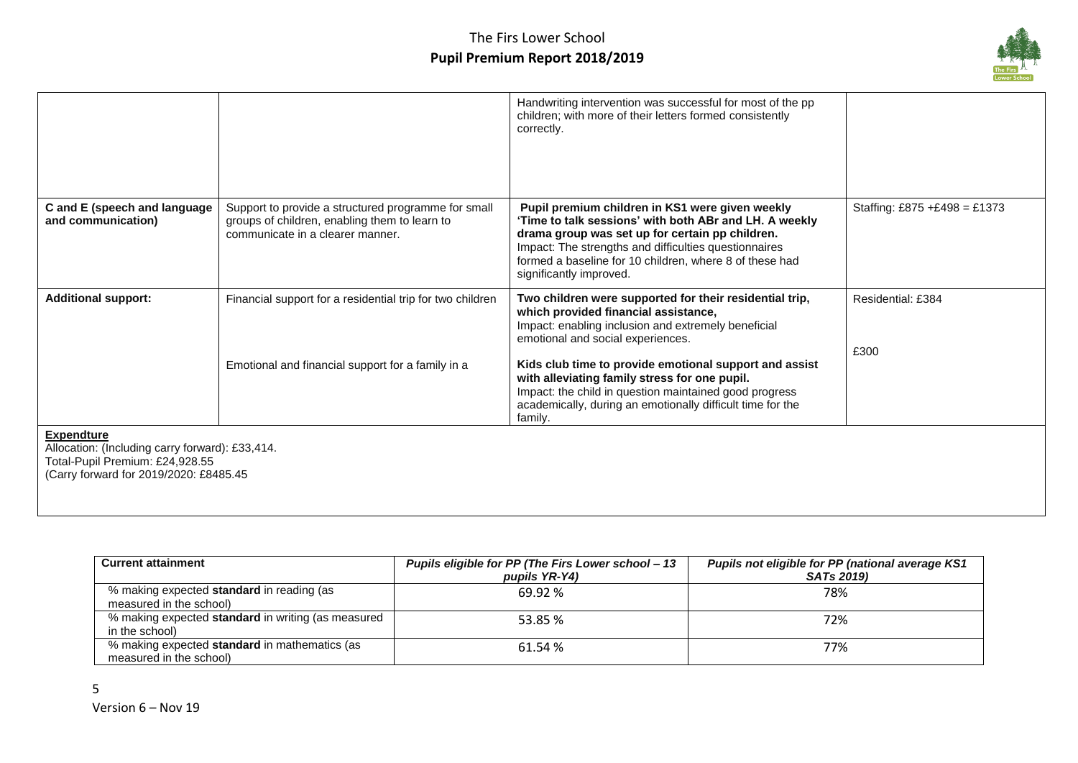

|                                                                                                                                                   |                                                                                                                                          | Handwriting intervention was successful for most of the pp<br>children; with more of their letters formed consistently<br>correctly.                                                                                                                                                                                                                                                                                                      |                              |
|---------------------------------------------------------------------------------------------------------------------------------------------------|------------------------------------------------------------------------------------------------------------------------------------------|-------------------------------------------------------------------------------------------------------------------------------------------------------------------------------------------------------------------------------------------------------------------------------------------------------------------------------------------------------------------------------------------------------------------------------------------|------------------------------|
| C and E (speech and language<br>and communication)                                                                                                | Support to provide a structured programme for small<br>groups of children, enabling them to learn to<br>communicate in a clearer manner. | Pupil premium children in KS1 were given weekly<br>'Time to talk sessions' with both ABr and LH. A weekly<br>drama group was set up for certain pp children.<br>Impact: The strengths and difficulties questionnaires<br>formed a baseline for 10 children, where 8 of these had<br>significantly improved.                                                                                                                               | Staffing: £875 +£498 = £1373 |
| <b>Additional support:</b>                                                                                                                        | Financial support for a residential trip for two children<br>Emotional and financial support for a family in a                           | Two children were supported for their residential trip,<br>which provided financial assistance,<br>Impact: enabling inclusion and extremely beneficial<br>emotional and social experiences.<br>Kids club time to provide emotional support and assist<br>with alleviating family stress for one pupil.<br>Impact: the child in question maintained good progress<br>academically, during an emotionally difficult time for the<br>family. | Residential: £384<br>£300    |
| <b>Expendture</b><br>Allocation: (Including carry forward): £33,414.<br>Total-Pupil Premium: £24,928.55<br>(Carry forward for 2019/2020: £8485.45 |                                                                                                                                          |                                                                                                                                                                                                                                                                                                                                                                                                                                           |                              |

| <b>Current attainment</b>                          | Pupils eligible for PP (The Firs Lower school - 13 | Pupils not eligible for PP (national average KS1 |
|----------------------------------------------------|----------------------------------------------------|--------------------------------------------------|
|                                                    | pupils YR-Y4)                                      | <b>SATs 2019)</b>                                |
| % making expected <b>standard</b> in reading (as   | 69.92%                                             | 78%                                              |
| measured in the school)                            |                                                    |                                                  |
| % making expected standard in writing (as measured | 53.85 %                                            | 72%                                              |
| in the school)                                     |                                                    |                                                  |
| % making expected standard in mathematics (as      | 61.54 %                                            | 77%                                              |
| measured in the school)                            |                                                    |                                                  |